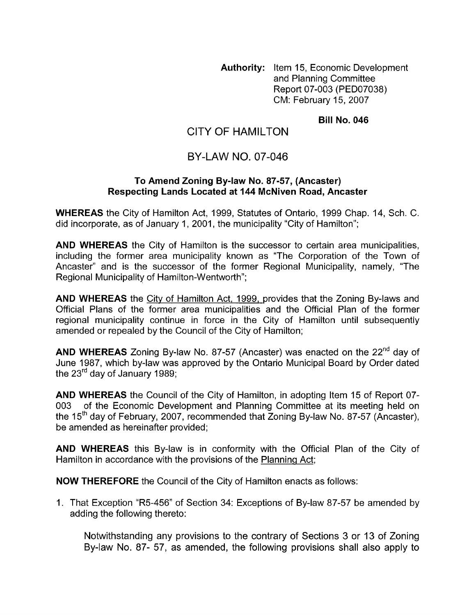**Authority:** Item 15, Economic Development and Planning Committee Report 07-003 (PED07038) CM: February 15,2007

**Bill No. 046** 

## CITY OF HAMILTON

## BY-LAW NO. 07-046

## **To Amend Zoning By-law No. 87-57, (Ancaster) Respecting Lands Located at 144 McNiven Road, Ancaster**

**WHEREAS** the City of Hamilton Act, 1999, Statutes of Ontario, 1999 Chap. 14, Sch. C. did incorporate, as of January 1, 2001, the municipality "City of Hamilton";

**AND WHEREAS** the City of Hamilton is the successor to certain area municipalities, including the former area municipality known as "The Corporation of the Town of Ancaster" and is the successor of the former Regional Municipality, namely, "The Regional Municipality of Hamilton-Wentworth";

**AND WHEREAS** the City of Hamilton Act, 1999, provides that the Zoning By-laws and Official Plans of the former area municipalities and the Official Plan of the former regional municipality continue in force in the City of Hamilton until subsequently amended or repealed by the Council of the City of Hamilton;

**AND WHEREAS** Zoning By-law No. 87-57 (Ancaster) was enacted on the 22<sup>nd</sup> day of June 1987, which by-law was approved by the Ontario Municipal Board by Order dated the 23<sup>rd</sup> day of January 1989;

**AND WHEREAS** the Council of the City of Hamilton, in adopting Item 15 of Report 07- 003 of the Economic Development and Planning Committee at its meeting held on the 15<sup>th</sup> day of February, 2007, recommended that Zoning By-law No. 87-57 (Ancaster), be amended as hereinafter provided;

**AND WHEREAS** this By-law is in conformity with the Official Plan of the City of Hamilton in accordance with the provisions of the Planning Act;

**NOW THEREFORE** the Council of the City of Hamilton enacts as follows:

1. That Exception "R5-456" of Section 34: Exceptions of By-law 87-57 be amended by adding the following thereto:

Notwithstanding any provisions to the contrary of Sections 3 or 13 of Zoning By-law No. 87- 57, as amended, the following provisions shall also apply to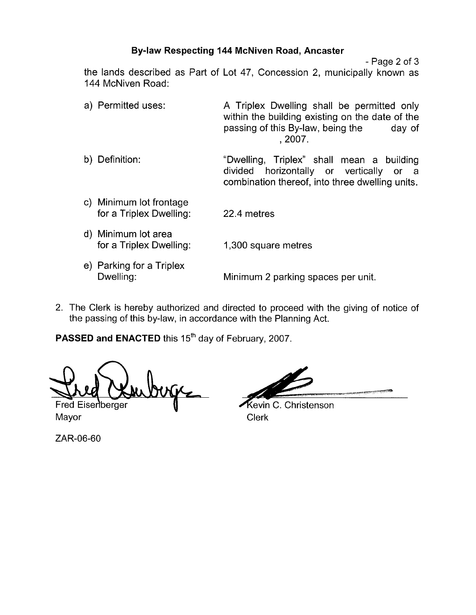## **Bylaw Respecting 144 McNiven Road, Ancaster**

- Page 2 of 3 the lands described as Part of Lot 47, Concession 2, municipally known as 144 McNiven Road:

- a) Permitted uses: A Triplex Dwelling shall be permitted only within the building existing on the date of the passing of this By-law, being the day of ,2007. b) Definition: "Dwelling, Triplex" shall mean a building divided horizontally or vertically or a
- c) Minimum lot frontage for a Triplex Dwelling: 22.4 metres
- d) Minimum lot area for a Triplex Dwelling: 1,300 square metres
- e) Parking for a Triplex

Dwelling: Minimum 2 parking spaces per unit.

combination thereof, into three dwelling units.

2. The Clerk is hereby authorized and directed to proceed with the giving of notice of the passing of this by-law, in accordance with the Planning Act.

PASSED and ENACTED this 15<sup>th</sup> day of February, 2007.

Fred Eisenberger Mayor **Clerk** 

Kevin C. Christenson

ZAR-06-60